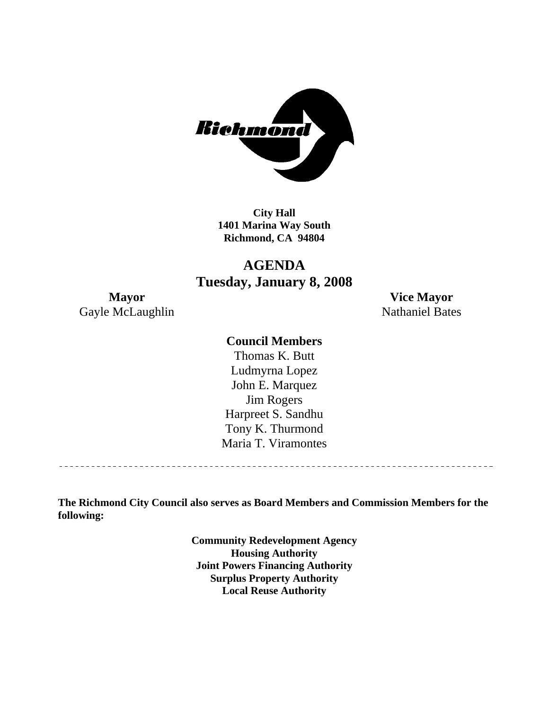

**City Hall 1401 Marina Way South Richmond, CA 94804** 

# **AGENDA Tuesday, January 8, 2008**

Gayle McLaughlin Nathaniel Bates

**Mayor Vice Mayor** 

#### **Council Members**

Harpreet S. Sandhu Tony K. Thurmond Maria T. Viramontes Thomas K. Butt Ludmyrna Lopez John E. Marquez Jim Rogers

**The Richmond City Council also serves as Board Members and Commission Members for the following:** 

> **Community Redevelopment Agency Housing Authority Joint Powers Financing Authority Surplus Property Authority Local Reuse Authority**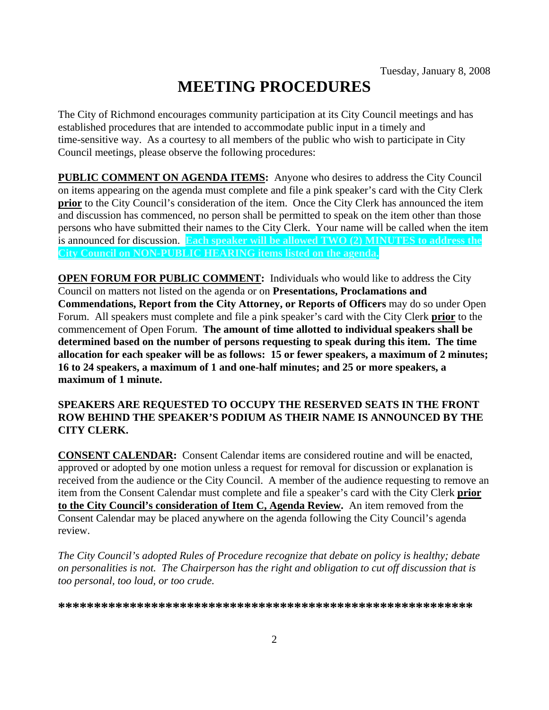# **MEETING PROCEDURES**

The City of Richmond encourages community participation at its City Council meetings and has established procedures that are intended to accommodate public input in a timely and time-sensitive way. As a courtesy to all members of the public who wish to participate in City Council meetings, please observe the following procedures:

**PUBLIC COMMENT ON AGENDA ITEMS:** Anyone who desires to address the City Council on items appearing on the agenda must complete and file a pink speaker's card with the City Clerk **prior** to the City Council's consideration of the item. Once the City Clerk has announced the item and discussion has commenced, no person shall be permitted to speak on the item other than those persons who have submitted their names to the City Clerk. Your name will be called when the item is announced for discussion. **Each speaker will be allowed TWO (2) MINUTES to address the City Council on NON-PUBLIC HEARING items listed on the agenda.** 

**OPEN FORUM FOR PUBLIC COMMENT:** Individuals who would like to address the City Council on matters not listed on the agenda or on **Presentations, Proclamations and Commendations, Report from the City Attorney, or Reports of Officers** may do so under Open Forum. All speakers must complete and file a pink speaker's card with the City Clerk **prior** to the commencement of Open Forum. **The amount of time allotted to individual speakers shall be determined based on the number of persons requesting to speak during this item. The time allocation for each speaker will be as follows: 15 or fewer speakers, a maximum of 2 minutes; 16 to 24 speakers, a maximum of 1 and one-half minutes; and 25 or more speakers, a maximum of 1 minute.** 

#### **SPEAKERS ARE REQUESTED TO OCCUPY THE RESERVED SEATS IN THE FRONT ROW BEHIND THE SPEAKER'S PODIUM AS THEIR NAME IS ANNOUNCED BY THE CITY CLERK.**

**CONSENT CALENDAR:** Consent Calendar items are considered routine and will be enacted, approved or adopted by one motion unless a request for removal for discussion or explanation is received from the audience or the City Council. A member of the audience requesting to remove an item from the Consent Calendar must complete and file a speaker's card with the City Clerk **prior to the City Council's consideration of Item C, Agenda Review.** An item removed from the Consent Calendar may be placed anywhere on the agenda following the City Council's agenda review.

*The City Council's adopted Rules of Procedure recognize that debate on policy is healthy; debate on personalities is not. The Chairperson has the right and obligation to cut off discussion that is too personal, too loud, or too crude.* 

**\*\*\*\*\*\*\*\*\*\*\*\*\*\*\*\*\*\*\*\*\*\*\*\*\*\*\*\*\*\*\*\*\*\*\*\*\*\*\*\*\*\*\*\*\*\*\*\*\*\*\*\*\*\*\*\*\*\***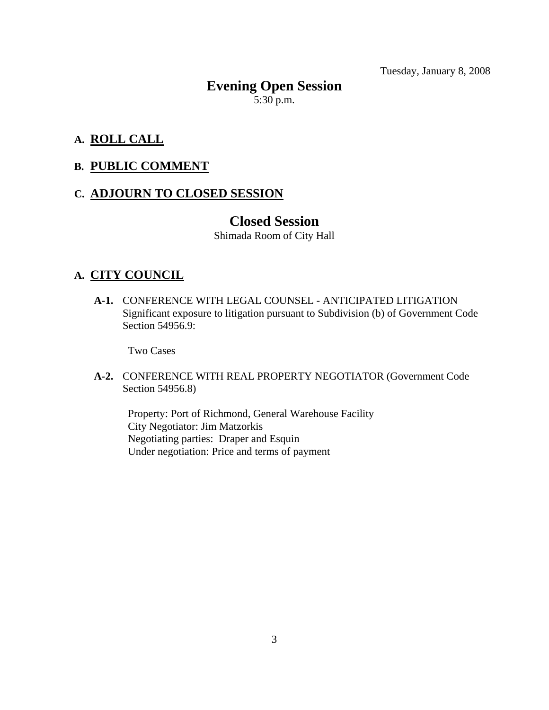# **Evening Open Session**   $5:30$  p.m.

# **A. ROLL CALL**

#### **B. PUBLIC COMMENT**

#### **C. ADJOURN TO CLOSED SESSION**

# **Closed Session**

Shimada Room of City Hall

#### **A. CITY COUNCIL**

 **A-1.** CONFERENCE WITH LEGAL COUNSEL - ANTICIPATED LITIGATION Significant exposure to litigation pursuant to Subdivision (b) of Government Code Section 54956.9:

Two Cases

#### **A-2.** CONFERENCE WITH REAL PROPERTY NEGOTIATOR (Government Code Section 54956.8)

Property: Port of Richmond, General Warehouse Facility City Negotiator: Jim Matzorkis Negotiating parties: Draper and Esquin Under negotiation: Price and terms of payment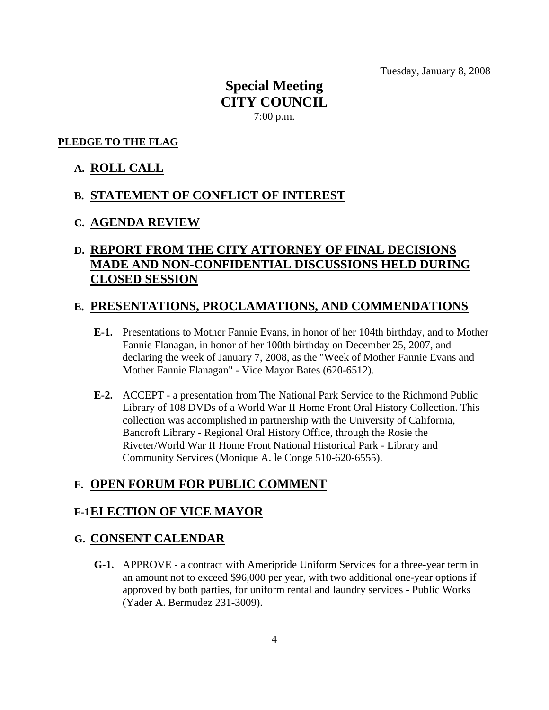# **Special Meeting CITY COUNCIL**  7:00 p.m.

#### **PLEDGE TO THE FLAG**

#### **A. ROLL CALL**

#### **B. STATEMENT OF CONFLICT OF INTEREST**

#### **C. AGENDA REVIEW**

# **D. REPORT FROM THE CITY ATTORNEY OF FINAL DECISIONS MADE AND NON-CONFIDENTIAL DISCUSSIONS HELD DURING CLOSED SESSION**

#### **E. PRESENTATIONS, PROCLAMATIONS, AND COMMENDATIONS**

- **E-1.** Presentations to Mother Fannie Evans, in honor of her 104th birthday, and to Mother Fannie Flanagan, in honor of her 100th birthday on December 25, 2007, and declaring the week of January 7, 2008, as the "Week of Mother Fannie Evans and Mother Fannie Flanagan" - Vice Mayor Bates (620-6512).
- **E-2.** ACCEPT a presentation from The National Park Service to the Richmond Public Library of 108 DVDs of a World War II Home Front Oral History Collection. This collection was accomplished in partnership with the University of California, Bancroft Library - Regional Oral History Office, through the Rosie the Riveter/World War II Home Front National Historical Park - Library and Community Services (Monique A. le Conge 510-620-6555).

#### **F. OPEN FORUM FOR PUBLIC COMMENT**

#### **F-1 ELECTION OF VICE MAYOR**

#### **G. CONSENT CALENDAR**

 **G-1.** APPROVE - a contract with Ameripride Uniform Services for a three-year term in an amount not to exceed \$96,000 per year, with two additional one-year options if approved by both parties, for uniform rental and laundry services - Public Works (Yader A. Bermudez 231-3009).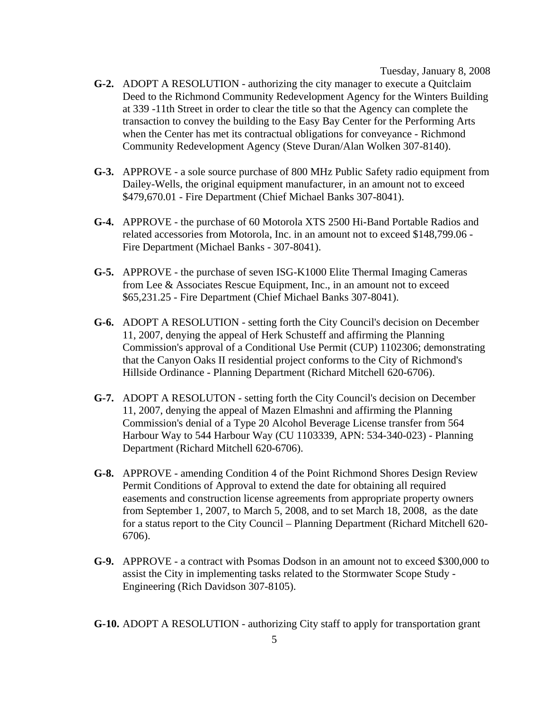- **G-2.** ADOPT A RESOLUTION authorizing the city manager to execute a Quitclaim Deed to the Richmond Community Redevelopment Agency for the Winters Building at 339 -11th Street in order to clear the title so that the Agency can complete the transaction to convey the building to the Easy Bay Center for the Performing Arts when the Center has met its contractual obligations for conveyance - Richmond Community Redevelopment Agency (Steve Duran/Alan Wolken 307-8140).
- **G-3.** APPROVE a sole source purchase of 800 MHz Public Safety radio equipment from Dailey-Wells, the original equipment manufacturer, in an amount not to exceed \$479,670.01 - Fire Department (Chief Michael Banks 307-8041).
- **G-4.** APPROVE the purchase of 60 Motorola XTS 2500 Hi-Band Portable Radios and related accessories from Motorola, Inc. in an amount not to exceed \$148,799.06 - Fire Department (Michael Banks - 307-8041).
- **G-5.** APPROVE the purchase of seven ISG-K1000 Elite Thermal Imaging Cameras from Lee & Associates Rescue Equipment, Inc., in an amount not to exceed \$65,231.25 - Fire Department (Chief Michael Banks 307-8041).
- **G-6.** ADOPT A RESOLUTION setting forth the City Council's decision on December 11, 2007, denying the appeal of Herk Schusteff and affirming the Planning Commission's approval of a Conditional Use Permit (CUP) 1102306; demonstrating that the Canyon Oaks II residential project conforms to the City of Richmond's Hillside Ordinance - Planning Department (Richard Mitchell 620-6706).
- **G-7.** ADOPT A RESOLUTON setting forth the City Council's decision on December 11, 2007, denying the appeal of Mazen Elmashni and affirming the Planning Commission's denial of a Type 20 Alcohol Beverage License transfer from 564 Harbour Way to 544 Harbour Way (CU 1103339, APN: 534-340-023) - Planning Department (Richard Mitchell 620-6706).
- **G-8.** APPROVE amending Condition 4 of the Point Richmond Shores Design Review Permit Conditions of Approval to extend the date for obtaining all required easements and construction license agreements from appropriate property owners from September 1, 2007, to March 5, 2008, and to set March 18, 2008, as the date for a status report to the City Council – Planning Department (Richard Mitchell 620- 6706).
- **G-9.** APPROVE a contract with Psomas Dodson in an amount not to exceed \$300,000 to assist the City in implementing tasks related to the Stormwater Scope Study - Engineering (Rich Davidson 307-8105).

 **G-10.** ADOPT A RESOLUTION - authorizing City staff to apply for transportation grant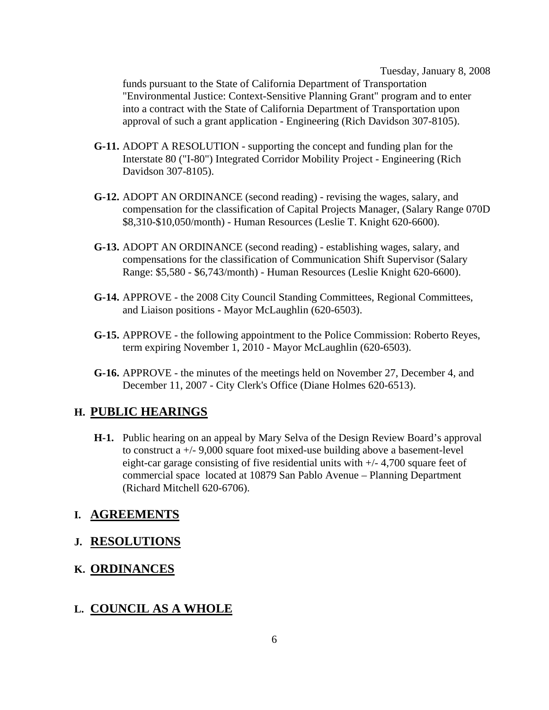funds pursuant to the State of California Department of Transportation "Environmental Justice: Context-Sensitive Planning Grant" program and to enter into a contract with the State of California Department of Transportation upon approval of such a grant application - Engineering (Rich Davidson 307-8105).

- **G-11.** ADOPT A RESOLUTION supporting the concept and funding plan for the Interstate 80 ("I-80") Integrated Corridor Mobility Project - Engineering (Rich Davidson 307-8105).
- **G-12.** ADOPT AN ORDINANCE (second reading) revising the wages, salary, and compensation for the classification of Capital Projects Manager, (Salary Range 070D \$8,310-\$10,050/month) - Human Resources (Leslie T. Knight 620-6600).
- **G-13.** ADOPT AN ORDINANCE (second reading) establishing wages, salary, and compensations for the classification of Communication Shift Supervisor (Salary Range: \$5,580 - \$6,743/month) - Human Resources (Leslie Knight 620-6600).
- **G-14.** APPROVE the 2008 City Council Standing Committees, Regional Committees, and Liaison positions - Mayor McLaughlin (620-6503).
- **G-15.** APPROVE the following appointment to the Police Commission: Roberto Reyes, term expiring November 1, 2010 - Mayor McLaughlin (620-6503).
- **G-16.** APPROVE the minutes of the meetings held on November 27, December 4, and December 11, 2007 - City Clerk's Office (Diane Holmes 620-6513).

#### **H. PUBLIC HEARINGS**

 **H-1.** Public hearing on an appeal by Mary Selva of the Design Review Board's approval to construct a +/- 9,000 square foot mixed-use building above a basement-level eight-car garage consisting of five residential units with +/- 4,700 square feet of commercial space located at 10879 San Pablo Avenue – Planning Department (Richard Mitchell 620-6706).

#### **I. AGREEMENTS**

#### **J. RESOLUTIONS**

# **K. ORDINANCES**

#### **L. COUNCIL AS A WHOLE**